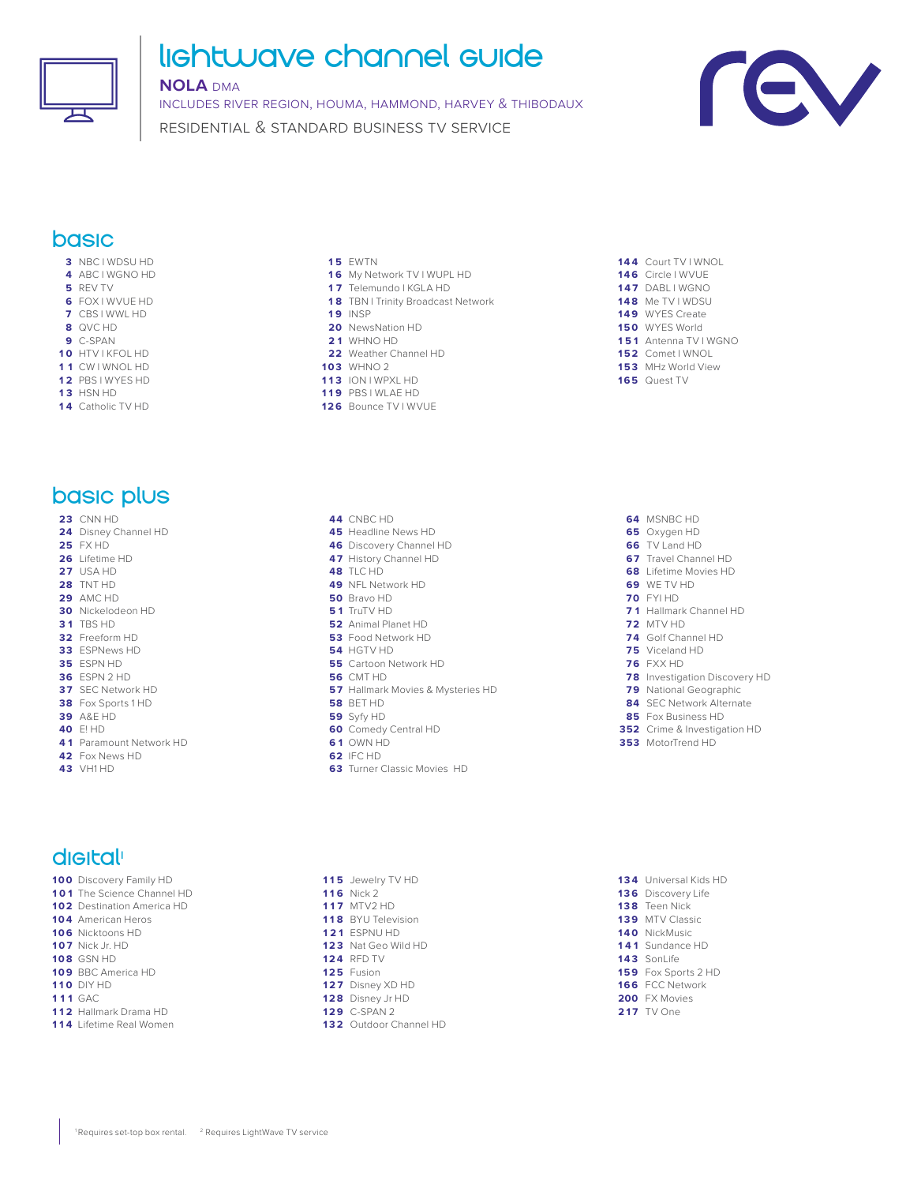

# lightwave channel guide

**nola** dma

includes river region, houma, hammond, harvey & thibodaux

residential & standard business tv service



#### basic

- NBC l WDSU HD
- ABC l WGNO HD
- REV TV
- FOX l WVUE HD
- CBS l WWL HD
- QVC HD
- C-SPAN
- **1 0** HTV l KFOL HD
- **1 1**  CW l WNOL HD
- **1 2**  PBS l WYES HD
- **1 3** HSN HD
- **1 4**  Catholic TV HD

# basic plus

- CNN HD
- Disney Channel HD
- FX HD
- Lifetime HD **2 7**  USA HD
- TNT HD
- AMC HD
- Nickelodeon HD
- **3 1**  TBS HD
- Freeform HD
- ESPNews HD
- ESPN HD
- ESPN 2 HD
- **3 7**  SEC Network HD
- Fox Sports 1 HD
- A&E HD E! HD
- 
- **4 1** Paramount Network HD Fox News HD
- VH1 HD

# digital

- **1 0 0**  Discovery Family HD The Science Channel HD
- Destination America HD
- American Heros
- Nicktoons HD
- Nick Jr. HD
- GSN HD
- BBC America HD
- DIY HD
- GAC
- Hallmark Drama HD
- Lifetime Real Women

<sup>1</sup> Requires set-top box rental. <sup>2</sup> Requires LightWave TV service

- EWTN **1 5**
- 16 My Network TV I WUPL HD
	- 17 Telemundo | KGLA HD 18 TBN I Trinity Broadcast Network
	-
- 19 INSP
- NewsNation HD
- WHNO HD **2 1**
- Weather Channel HD
- WHNO 2
- 113 ION I WPXL HD
- 119 PBS I WLAE HD
- 126 Bounce TV I WVUE
- 44 CNBC HD
- 45 Headline News HD
- 46 Discovery Channel HD
- 47 History Channel HD
- TLC HD
- 49 NFL Network HD
- Bravo HD
- TruTV HD
- Animal Planet HD
- Food Network HD
- 54 HGTV HD
- Cartoon Network HD
- CMT HD
- 57 Hallmark Movies & Mysteries HD
- BET HD
- Syfy HD
- 60 Comedy Central HD
- 61 OWN HD
- **IFC HD**
- 63 Turner Classic Movies HD
- 115 Jewelry TV HD Nick 2 117 MTV2 HD BYU Television ESPNU HD 123 Nat Geo Wild HD 124 RFD TV 125 Fusion 127 Disney XD HD 128 Disney Jr HD C-SPAN 2
- 132 Outdoor Channel HD

 Court TV l WNOL Circle l WVUE DABL l WGNO Me TV l WDSU WYES Create WYES World Antenna TV l WGNO Comet l WNOL MHz World View Quest TV

- MSNBC HD Oxygen HD TV Land HD **6 7** Travel Channel HD Lifetime Movies HD
- WE TV HD
- FYI HD
- **7 1** Hallmark Channel HD
- **7 2** MTV HD
- **7 4** Golf Channel HD
- **7 5** Viceland HD
- **7 6** FXX HD
- **7 8** Investigation Discovery HD
- **7 9** National Geographic
- SEC Network Alternate
- Fox Business HD
- Crime & Investigation HD
- MotorTrend HD

 Discovery Life Teen Nick MTV Classic NickMusic Sundance HD SonLife Fox Sports 2 HD FCC Network FX Movies TV One

Universal Kids HD